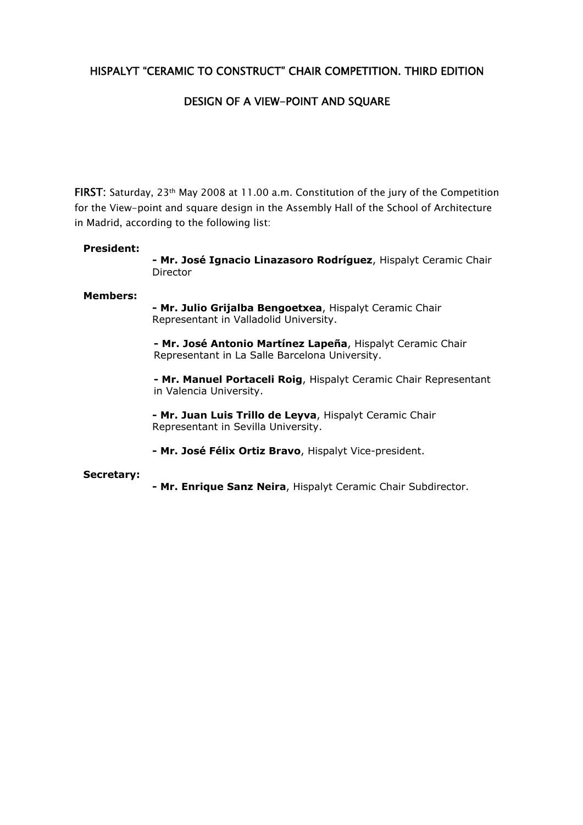# HISPALYT "CERAMIC TO CONSTRUCT" CHAIR COMPETITION. THIRD EDITION

# DESIGN OF A VIEW-POINT AND SQUARE

FIRST: Saturday, 23th May 2008 at 11.00 a.m. Constitution of the jury of the Competition for the View-point and square design in the Assembly Hall of the School of Architecture in Madrid, according to the following list:

### **President:**

**- Mr. José Ignacio Linazasoro Rodríguez**, Hispalyt Ceramic Chair Director

### **Members:**

**- Mr. Julio Grijalba Bengoetxea**, Hispalyt Ceramic Chair Representant in Valladolid University.

 **- Mr. José Antonio Martínez Lapeña**, Hispalyt Ceramic Chair Representant in La Salle Barcelona University.

**- Mr. Manuel Portaceli Roig**, Hispalyt Ceramic Chair Representant in Valencia University.

**- Mr. Juan Luis Trillo de Leyva**, Hispalyt Ceramic Chair Representant in Sevilla University.

**- Mr. José Félix Ortiz Bravo**, Hispalyt Vice-president.

#### **Secretary:**

**- Mr. Enrique Sanz Neira**, Hispalyt Ceramic Chair Subdirector.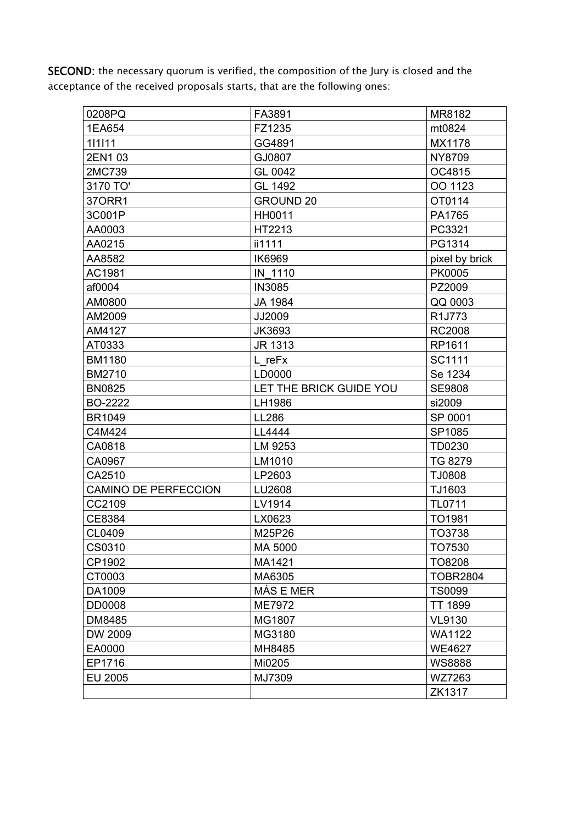SECOND: the necessary quorum is verified, the composition of the Jury is closed and the acceptance of the received proposals starts, that are the following ones:

| 0208PQ                      | FA3891                  | MR8182              |
|-----------------------------|-------------------------|---------------------|
| 1EA654                      | FZ1235                  | mt0824              |
| 111111                      | GG4891                  | MX1178              |
| 2EN103                      | GJ0807                  | <b>NY8709</b>       |
| 2MC739                      | GL 0042                 | OC4815              |
| 3170 TO'                    | GL 1492                 | OO 1123             |
| 370RR1                      | <b>GROUND 20</b>        | OT0114              |
| 3C001P                      | HH0011                  | PA1765              |
| AA0003                      | HT2213                  | PC3321              |
| AA0215                      | ii1111                  | PG1314              |
| AA8582                      | IK6969                  | pixel by brick      |
| AC1981                      | IN 1110                 | <b>PK0005</b>       |
| af0004                      | <b>IN3085</b>           | PZ2009              |
| AM0800                      | JA 1984                 | QQ 0003             |
| AM2009                      | JJ2009                  | R <sub>1</sub> J773 |
| AM4127                      | JK3693                  | <b>RC2008</b>       |
| AT0333                      | JR 1313                 | RP1611              |
| <b>BM1180</b>               | L_reFx                  | SC1111              |
| <b>BM2710</b>               | LD0000                  | Se 1234             |
| <b>BN0825</b>               | LET THE BRICK GUIDE YOU | <b>SE9808</b>       |
| <b>BO-2222</b>              | LH1986                  | si2009              |
| <b>BR1049</b>               | LL286                   | SP 0001             |
| C4M424                      | LL4444                  | SP1085              |
| CA0818                      | LM 9253                 | TD0230              |
| CA0967                      | LM1010                  | <b>TG 8279</b>      |
| CA2510                      | LP2603                  | TJ0808              |
| <b>CAMINO DE PERFECCION</b> | LU2608                  | TJ1603              |
| CC2109                      | LV1914                  | <b>TL0711</b>       |
| CE8384                      | LX0623                  | TO <sub>1981</sub>  |
| CL0409                      | M25P26                  | TO3738              |
| CS0310                      | MA 5000                 | TO7530              |
| CP1902                      | MA1421                  | TO8208              |
| CT0003                      | MA6305                  | <b>TOBR2804</b>     |
| DA1009                      | MÁS E MER               | <b>TS0099</b>       |
| DD0008                      | ME7972                  | <b>TT 1899</b>      |
| DM8485                      | MG1807                  | <b>VL9130</b>       |
| DW 2009                     | MG3180                  | <b>WA1122</b>       |
| EA0000                      | MH8485                  | <b>WE4627</b>       |
| EP1716                      | Mi0205                  | <b>WS8888</b>       |
| EU 2005                     | MJ7309                  | WZ7263              |
|                             |                         | ZK1317              |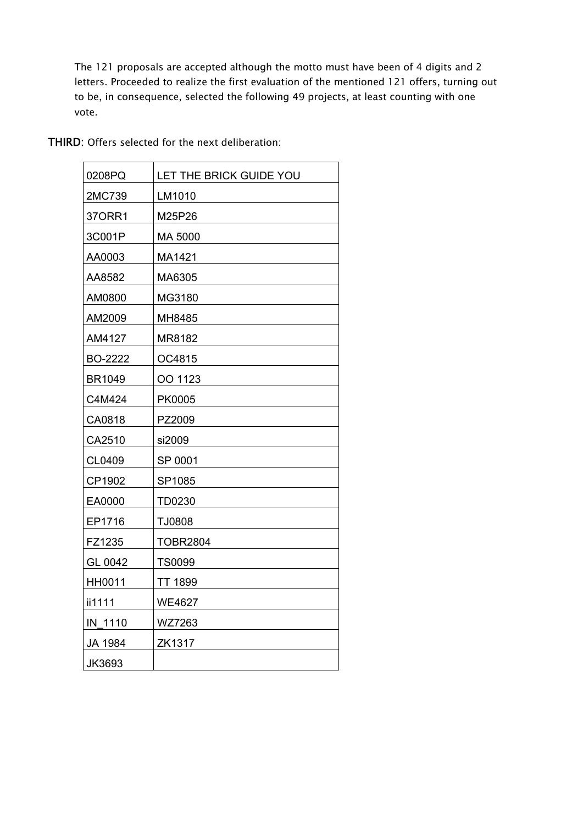The 121 proposals are accepted although the motto must have been of 4 digits and 2 letters. Proceeded to realize the first evaluation of the mentioned 121 offers, turning out to be, in consequence, selected the following 49 projects, at least counting with one vote.

| 0208PQ        | LET THE BRICK GUIDE YOU |
|---------------|-------------------------|
| 2MC739        | LM1010                  |
| 370RR1        | M25P26                  |
| 3C001P        | MA 5000                 |
| AA0003        | MA1421                  |
| AA8582        | MA6305                  |
| AM0800        | MG3180                  |
| AM2009        | MH8485                  |
| AM4127        | MR8182                  |
| BO-2222       | OC4815                  |
| <b>BR1049</b> | OO 1123                 |
| C4M424        | PK0005                  |
| CA0818        | PZ2009                  |
| CA2510        | si2009                  |
| CL0409        | SP 0001                 |
| CP1902        | SP1085                  |
| EA0000        | <b>TD0230</b>           |
| EP1716        | TJ0808                  |
| FZ1235        | <b>TOBR2804</b>         |
| GL 0042       | <b>TS0099</b>           |
| HH0011        | <b>TT 1899</b>          |
| ii1111        | <b>WE4627</b>           |
| IN 1110       | WZ7263                  |
| JA 1984       | ZK1317                  |
| JK3693        |                         |

THIRD: Offers selected for the next deliberation: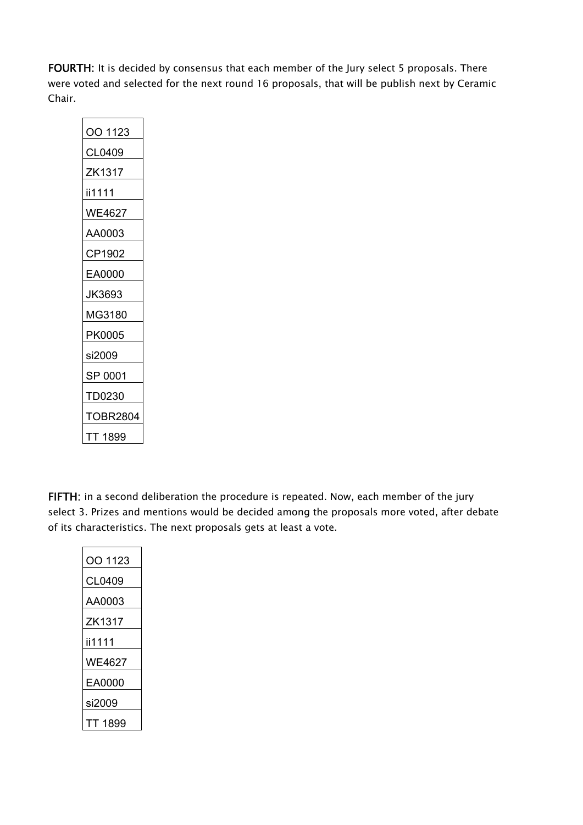FOURTH: It is decided by consensus that each member of the Jury select 5 proposals. There were voted and selected for the next round 16 proposals, that will be publish next by Ceramic Chair.

| OO 1123  |  |  |
|----------|--|--|
| CL0409   |  |  |
| ZK1317   |  |  |
| ii1111   |  |  |
| WE4627   |  |  |
| AA0003   |  |  |
| CP1902   |  |  |
| EA0000   |  |  |
| JK3693   |  |  |
| MG3180   |  |  |
| PK0005   |  |  |
| si2009   |  |  |
| SP 0001  |  |  |
| TD0230   |  |  |
| TOBR2804 |  |  |
| TT 1899  |  |  |

FIFTH: in a second deliberation the procedure is repeated. Now, each member of the jury select 3. Prizes and mentions would be decided among the proposals more voted, after debate of its characteristics. The next proposals gets at least a vote.

| OO 1123 |
|---------|
| CL0409  |
| AA0003  |
| ZK1317  |
| ii1111  |
| WE4627  |
| EA0000  |
| si2009  |
| FT 1899 |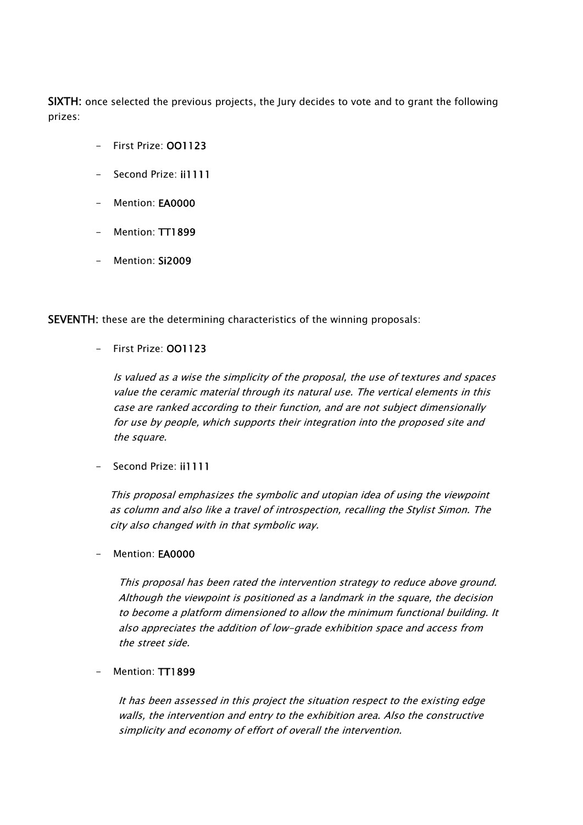SIXTH: once selected the previous projects, the Jury decides to vote and to grant the following prizes:

- First Prize: OO1123
- Second Prize: ii1111
- Mention: EA0000
- Mention: TT1899
- Mention: Si2009

SEVENTH: these are the determining characteristics of the winning proposals:

## - First Prize: OO1123

Is valued as a wise the simplicity of the proposal, the use of textures and spaces value the ceramic material through its natural use. The vertical elements in this case are ranked according to their function, and are not subject dimensionally for use by people, which supports their integration into the proposed site and the square.

Second Prize: ii1111

This proposal emphasizes the symbolic and utopian idea of using the viewpoint as column and also like a travel of introspection, recalling the Stylist Simon. The city also changed with in that symbolic way.

- Mention: **FA0000** 

This proposal has been rated the intervention strategy to reduce above ground. Although the viewpoint is positioned as a landmark in the square, the decision to become a platform dimensioned to allow the minimum functional building. It also appreciates the addition of low-grade exhibition space and access from the street side.

Mention: TT1899

It has been assessed in this project the situation respect to the existing edge walls, the intervention and entry to the exhibition area. Also the constructive simplicity and economy of effort of overall the intervention.